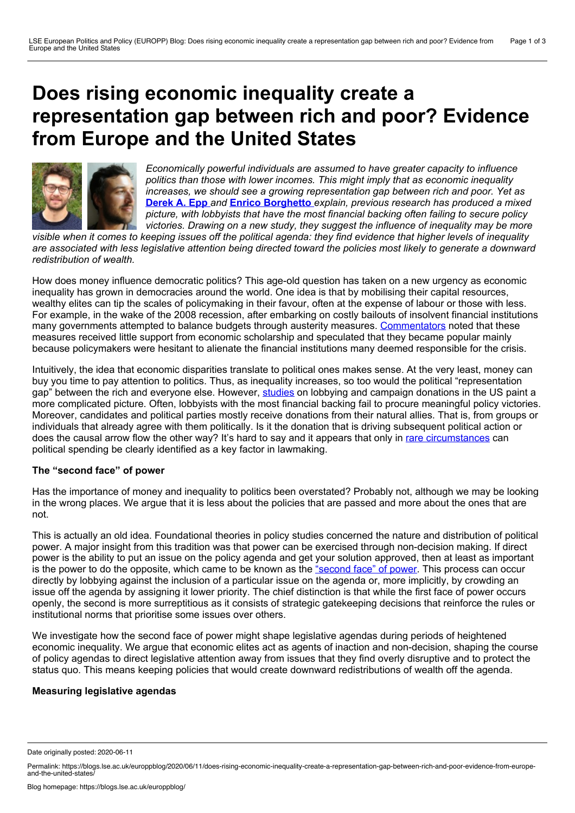# <span id="page-0-0"></span>**Does rising economic inequality create a representation gap between rich and poor? Evidence from Europe and the United States**



*Economically powerful individuals are assumed to have greater capacity to influence politics than those with lower incomes. This might imply that as economic inequality increases, we should see a growing representation gap between rich and poor. Yet as* **[Derek](#page-0-0) A. Epp** *and* **Enrico [Borghetto](#page-0-0)** *explain, previous research has produced a mixed picture, with lobbyists that have the most financial backing often failing to secure policy victories. Drawing on a new study, they suggest the influence of inequality may be more*

visible when it comes to keeping issues off the political agenda: they find evidence that higher levels of inequality are associated with less legislative attention being directed toward the policies most likely to generate a downward *redistribution of wealth.*

How does money influence democratic politics? This age-old question has taken on a new urgency as economic inequality has grown in democracies around the world. One idea is that by mobilising their capital resources, wealthy elites can tip the scales of policymaking in their favour, often at the expense of labour or those with less. For example, in the wake of the 2008 recession, after embarking on costly bailouts of insolvent financial institutions many governments attempted to balance budgets through austerity measures. [Commentators](https://global.oup.com/academic/product/austerity-9780199389445?cc=us&lang=en&) noted that these measures received little support from economic scholarship and speculated that they became popular mainly because policymakers were hesitant to alienate the financial institutions many deemed responsible for the crisis.

Intuitively, the idea that economic disparities translate to political ones makes sense. At the very least, money can buy you time to pay attention to politics. Thus, as inequality increases, so too would the political "representation gap" between the rich and everyone else. However, [studies](https://fbaum.unc.edu/books/lobby/lobbying.htm) on lobbying and campaign donations in the US paint a more complicated picture. Often, lobbyists with the most financial backing fail to procure meaningful policy victories. Moreover, candidates and political parties mostly receive donations from their natural allies. That is, from groups or individuals that already agree with them politically. Is it the donation that is driving subsequent political action or does the causal arrow flow the other way? It's hard to say and it appears that only in rare [circumstances](https://www.jstor.org/stable/42956049?seq=1) can political spending be clearly identified as a key factor in lawmaking.

# **The "second face" of power**

Has the importance of money and inequality to politics been overstated? Probably not, although we may be looking in the wrong places. We argue that it is less about the policies that are passed and more about the ones that are not.

This is actually an old idea. Foundational theories in policy studies concerned the nature and distribution of political power. A major insight from this tradition was that power can be exercised through non-decision making. If direct power is the ability to put an issue on the policy agenda and get your solution approved, then at least as important is the power to do the opposite, which came to be known as the ["second](https://www.jstor.org/stable/1952796?seq=1) face" of power. This process can occur directly by lobbying against the inclusion of a particular issue on the agenda or, more implicitly, by crowding an issue off the agenda by assigning it lower priority. The chief distinction is that while the first face of power occurs openly, the second is more surreptitious as itconsists of strategic gatekeeping decisions that reinforce the rules or institutional norms that prioritise some issues over others.

We investigate how the second face of power might shape legislative agendas during periods of heightened economic inequality. We argue that economic elites act as agents of inaction and non-decision, shaping the course of policy agendas to direct legislative attention away from issues that they find overly disruptive and to protect the status quo. This means keeping policies that would create downward redistributions of wealth off the agenda.

# **Measuring legislative agendas**

Date originally posted: 2020-06-11

Permalink: https://blogs.lse.ac.uk/europpblog/2020/06/11/does-rising-economic-inequality-create-a-representation-gap-between-rich-and-poor-evidence-from-europe-<br>and-the-united-states/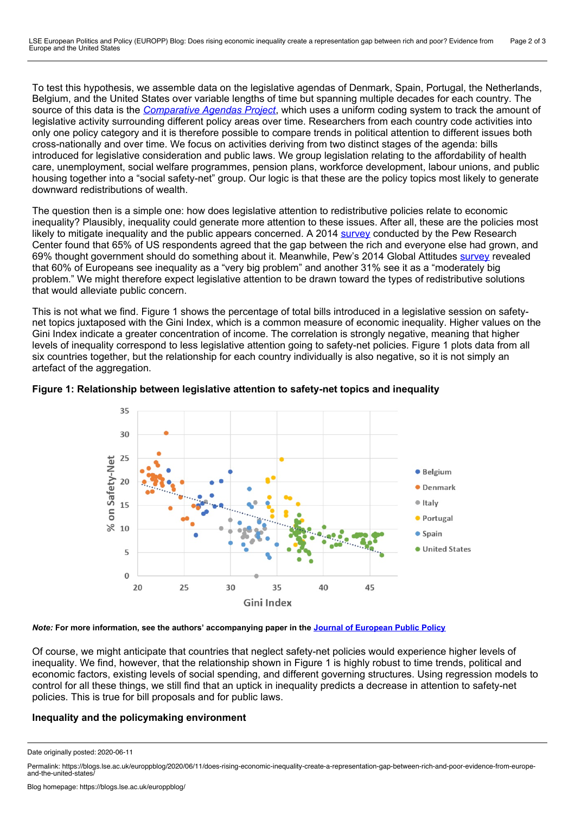To test this hypothesis, we assemble data on the legislative agendas of Denmark, Spain, Portugal, the Netherlands, Belgium, and the United States over variable lengths of time but spanning multiple decades for each country. The source of this data is the *[Comparative](https://www.comparativeagendas.net/) Agendas Project*, which uses a uniform coding system to track the amount of legislative activity surrounding different policy areas over time. Researchers from each country code activities into only one policy category and it is therefore possible to compare trends in political attention to different issues both cross-nationally and over time. We focus on activities deriving from two distinct stages of the agenda: bills introduced for legislative consideration and public laws. We group legislation relating to the affordability of health care, unemployment, social welfare programmes, pension plans, workforce development, labour unions, and public housing together into a "social safety-net" group. Our logic is that these are the policy topics most likely to generate downward redistributions of wealth.

The question then is a simple one: how does legislative attention to redistributive policies relate to economic inequality? Plausibly, inequality could generate more attention to these issues. After all, these are the policies most likely to mitigate inequality and the public appears concerned. A 2014 [survey](https://www.pewresearch.org/fact-tank/2015/01/20/us-economy/) conducted by the Pew Research Center found that 65% of US respondents agreed that the gap between the rich and everyone else had grown, and 69% thought government should do something about it. Meanwhile, Pew's 2014 Global Attitudes [survey](https://www.pewresearch.org/fact-tank/2014/11/08/with-41-of-global-wealth-in-the-hands-of-less-than-1-elites-and-citizens-agree-inequality-is-a-top-priority/) revealed that 60% of Europeans see inequality as a "very big problem" and another 31% see it as a "moderately big problem." We might therefore expect legislative attention to be drawn toward the types of redistributive solutions that would alleviate public concern.

This is not what we find. Figure 1 shows the percentage of total bills introduced in a legislative session on safety net topics juxtaposed with the Gini Index, which is a common measure of economic inequality. Higher values on the Gini Index indicate a greater concentration of income. The correlation is strongly negative, meaning that higher levels of inequality correspond to less legislative attention going to safety-net policies. Figure 1 plots data from all six countries together, but the relationship for each country individually is also negative, so it is not simply an artefact of the aggregation.





#### *Note:* **For more information, see the authors' accompanying paper in the Journal of [European](https://www.tandfonline.com/doi/full/10.1080/13501763.2020.1734060) Public Policy**

Of course, we might anticipate that countries that neglect safety-net policies would experience higher levels of inequality. We find, however, that the relationship shown in Figure 1 is highly robust to time trends, political and economic factors, existing levels of social spending, and different governing structures. Using regression models to control for all these things, we still find that an uptick in inequality predicts a decrease in attention to safety-net policies. This is true for bill proposals and for public laws.

# **Inequality and the policymaking environment**

Date originally posted: 2020-06-11

Permalink: https://blogs.lse.ac.uk/europpblog/2020/06/11/does-rising-economic-inequality-create-a-representation-gap-between-rich-and-poor-evidence-from-europe-<br>and-the-united-states/